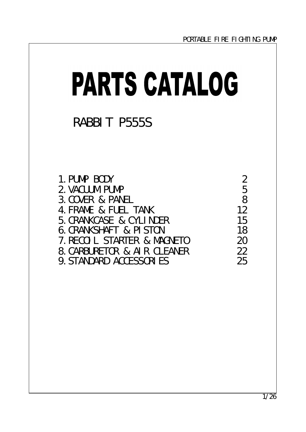| <b>PARTS CATALOG</b>                                                                                                                                                                                                                       |                                                                       |
|--------------------------------------------------------------------------------------------------------------------------------------------------------------------------------------------------------------------------------------------|-----------------------------------------------------------------------|
| RABBIT P555S                                                                                                                                                                                                                               |                                                                       |
| 1. PUNP BODY<br>2 VACUMPUNP<br>3 COVER & PANEL<br>4 FRANE & FUEL TANK<br>5 CRANACASE & CYLINER<br><b>6 CRANSHAFT &amp; PISTON</b><br>7. RECOL STARIER & MAGNETO<br><b>8 CARBURETOR &amp; AIR CLEANER</b><br><b>9. STANDARD ACCESSORIES</b> | $\boldsymbol{2}$<br>5<br>8<br>12<br>15<br>18<br>$2\Omega$<br>22<br>25 |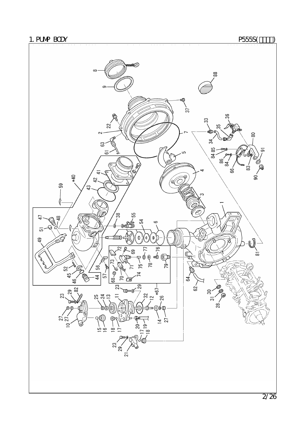

2/26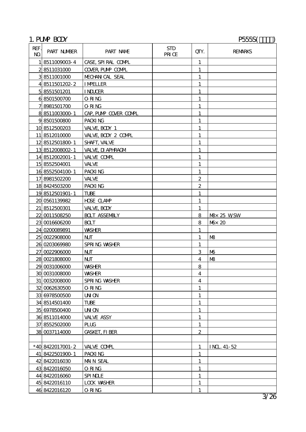# 1. PUMP BODY P555S()

| REF.<br>N <sub>O</sub> | PART NUMBER      | PART NAME             | <b>STD</b><br>PRICE | QIY.                    | <b>REMARKS</b>    |
|------------------------|------------------|-----------------------|---------------------|-------------------------|-------------------|
|                        | 185110090034     | CASE, SPIRAL COMPL    |                     | $\mathbf{1}$            |                   |
|                        | 28511031000      | COVER, PUMP COMPL     |                     | 1                       |                   |
|                        | 38511001000      | MECHAN CAL SEAL       |                     | $\mathbf{1}$            |                   |
|                        | 48511501202-2    | <b>IMPELLER</b>       |                     | $\mathbf{1}$            |                   |
|                        | 5 8551501201     | <b>INDUCER</b>        |                     | 1                       |                   |
|                        | 68501500700      | ORING                 |                     | 1                       |                   |
|                        | 78981501700      | <b>ORING</b>          |                     | $\mathbf{1}$            |                   |
|                        | 88511003000 1    | CAP, PUMP COVER COMPL |                     | $\mathbf{1}$            |                   |
|                        | 98501500800      | PACKING               |                     | 1                       |                   |
|                        | 10 8512500203    | VALVE, BODY 1         |                     | 1                       |                   |
|                        | 11 8512010000    | VALVE, BODY 2 COMPL   |                     | $\mathbf{1}$            |                   |
|                        | 12 8512501800-1  | SHAFT, VALVE          |                     | $\mathbf{1}$            |                   |
|                        | 13 8512008002-1  | VALVE DI APHRAGM      |                     | 1                       |                   |
|                        | 14 8512002001-1  | VALVE COMPL           |                     | $\mathbf{1}$            |                   |
|                        | 15 8552504001    | <b>VALVE</b>          |                     | $\mathbf{1}$            |                   |
|                        | 16 8552504100 1  | PACKING               |                     | 1                       |                   |
|                        | 17 8981502200    | <b>VALVE</b>          |                     | $\boldsymbol{2}$        |                   |
|                        | 18 8424503200    | PACKING               |                     | $\boldsymbol{2}$        |                   |
|                        | 19 8512501901-1  | <b>TUBE</b>           |                     | $\mathbf{1}$            |                   |
|                        | 20 0561139982    | <b>HDSE CLAMP</b>     |                     | 1                       |                   |
|                        | 21 8512500301    | VALVE, BODY           |                     | 1                       |                   |
|                        | 22 0011508250    | <b>BOLT ASSEMBLY</b>  |                     | 8                       | $N\&$ 25 WSW      |
|                        | 23 0016606200    | <b>BOLT</b>           |                     | 8                       | M <sub>0</sub> 20 |
|                        | 24 0200089891    | <b>WASHER</b>         |                     | 1                       |                   |
|                        | 25 0022908000    | <b>NJT</b>            |                     | $\mathbf{1}$            | MB                |
|                        | 26 0203069980    | SPRING WASHER         |                     | 1                       |                   |
|                        | 27 0022906000    | <b>NJT</b>            |                     | 3                       | M <sub>0</sub>    |
|                        | 28 0021808000    | <b>NJT</b>            |                     | $\overline{4}$          | MB                |
|                        | 29 0031006000    | <b>WASHER</b>         |                     | 8                       |                   |
|                        | 30 0031008000    | <b>WASHER</b>         |                     | $\boldsymbol{4}$        |                   |
|                        | 31 0032008000    | SPRING WASHER         |                     | $\overline{\mathbf{4}}$ |                   |
|                        | 32 0062630500    | O RING                |                     | 1                       |                   |
|                        | 33 6978500500    | UNON                  |                     | $\mathbf{1}$            |                   |
|                        | 34 8514501400    | TUBE                  |                     | $\mathbf{1}$            |                   |
|                        | 35 6978500400    | UNON                  |                     | 1                       |                   |
|                        | 36 8511014000    | VALVE ASSY            |                     | 1                       |                   |
|                        | 37 8552502000    | <b>PLUG</b>           |                     | $\mathbf{1}$            |                   |
|                        | 38 0037114000    | <b>GASKET, FI BER</b> |                     | $\boldsymbol{2}$        |                   |
|                        |                  |                       |                     |                         |                   |
|                        | *40 8422017001-2 | VALVE COMPL           |                     | 1                       | INL 41-52         |
|                        | 41 8422501900 1  | PACKING               |                     | $\mathbf{1}$            |                   |
|                        | 42 8422016030    | <b>MAIN SEAL</b>      |                     | $\mathbf{1}$            |                   |
|                        | 43 8422016050    | ORING                 |                     | 1                       |                   |
|                        | 44 8422016060    | <b>SPINLE</b>         |                     | $\mathbf{1}$            |                   |
|                        | 45 8422016110    | <b>LOCK WASHER</b>    |                     | $\mathbf{1}$            |                   |
|                        | 46 8422016120    | O RING                |                     | 1                       |                   |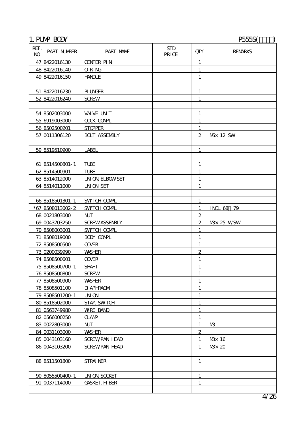# 1. PUMP BODY P555S()

| REF.<br>N <sub>O</sub> | PART NUMBER     | PART NAME             | <b>STD</b><br>PRICE | QTY.             | <b>REMARKS</b>       |
|------------------------|-----------------|-----------------------|---------------------|------------------|----------------------|
|                        | 47 8422016130   | <b>CENTER PIN</b>     |                     | $\mathbf{1}$     |                      |
|                        | 48 8422016140   | ORING                 |                     | 1                |                      |
|                        | 49 8422016150   | <b>HANLE</b>          |                     | $\mathbf{1}$     |                      |
|                        |                 |                       |                     |                  |                      |
|                        | 51 8422016230   | <b>PLUNGER</b>        |                     | 1                |                      |
|                        | 52 8422016240   | <b>SCREW</b>          |                     | 1                |                      |
|                        |                 |                       |                     |                  |                      |
|                        | 54 8502003000   | <b>VALVE UNT</b>      |                     | $\mathbf{1}$     |                      |
|                        | 55 6919003000   | <b>COOK COMPL</b>     |                     | 1                |                      |
|                        | 56 8502500201   | <b>STOPPER</b>        |                     | 1                |                      |
|                        | 57 0011306120   | <b>BOLT ASSEMBLY</b>  |                     | $\mathbf{2}$     | M <sup>3</sup> 12 SW |
|                        |                 |                       |                     |                  |                      |
|                        | 59 8519510900   | <b>LABEL</b>          |                     | 1                |                      |
|                        |                 |                       |                     |                  |                      |
|                        | 61 8514500801-1 | <b>TUBE</b>           |                     | $\mathbf{1}$     |                      |
|                        | 62 8514500901   | <b>TUBE</b>           |                     | 1                |                      |
|                        | 63 8514012000   | <b>UN ON ELBOWSET</b> |                     | 1                |                      |
|                        | 64 8514011000   | <b>UNON SET</b>       |                     | 1                |                      |
|                        |                 |                       |                     |                  |                      |
|                        | 66 8518501301-1 | <b>SWTCH COMPL</b>    |                     | 1                |                      |
|                        | *678508013002-2 | SWTCH COMPL           |                     | 1                | INL 68 79            |
|                        | 68 0021803000   | N                     |                     | $\boldsymbol{2}$ |                      |
|                        | 69 0043703250   | <b>SCREWASSEMBLY</b>  |                     | $\boldsymbol{2}$ | M <sub>25</sub> WSW  |
|                        | 70 8508003001   | SWTCH COMPL           |                     | 1                |                      |
|                        | 71 8508019000   | <b>BODY COMPL</b>     |                     | 1                |                      |
|                        | 72 8508500500   | <b>COVER</b>          |                     | 1                |                      |
|                        | 73 0200039990   | <b>WASHER</b>         |                     | $\boldsymbol{2}$ |                      |
|                        | 74 8508500601   | <b>COVER</b>          |                     | 1                |                      |
|                        | 75 8508500700-1 | <b>SHAFT</b>          |                     | 1                |                      |
|                        | 76 8508500800   | <b>SCREW</b>          |                     | $\mathbf{1}$     |                      |
|                        | 77 8508500900   | <b>WASHER</b>         |                     | $\mathbf{1}$     |                      |
|                        | 78 8508501100   | <b>DI APHRAGM</b>     |                     | 1                |                      |
|                        | 79 8508501200 1 | <b>UNON</b>           |                     | $\mathbf{1}$     |                      |
|                        | 80 8518502000   | <b>STAY, SWTCH</b>    |                     | $\mathbf{1}$     |                      |
|                        | 81 0563749980   | <b>WRE BAND</b>       |                     | 1                |                      |
|                        | 82 0566000250   | <b>CLAMP</b>          |                     | 1                |                      |
|                        | 83 0022803000   | N                     |                     | $\mathbf{1}$     | M <sup>3</sup>       |
|                        | 84 0031103000   | <b>WASHER</b>         |                     | $\boldsymbol{2}$ |                      |
|                        | 85 0043103160   | <b>SCREWPAN HEAD</b>  |                     | $\mathbf{1}$     | M <sub>2</sub> 16    |
|                        | 86 0043103200   | <b>SCREWPAN HEAD</b>  |                     | 1                | M <sub>2</sub> 20    |
|                        |                 |                       |                     |                  |                      |
|                        | 88 8511501800   | <b>STRAINER</b>       |                     | $\mathbf{1}$     |                      |
|                        |                 |                       |                     |                  |                      |
|                        | 90 8055500400 1 | <b>UN ON SOCKET</b>   |                     | $\mathbf{1}$     |                      |
|                        | 91 0037114000   | <b>GASKET, FI BER</b> |                     | $\mathbf{1}$     |                      |
|                        |                 |                       |                     |                  |                      |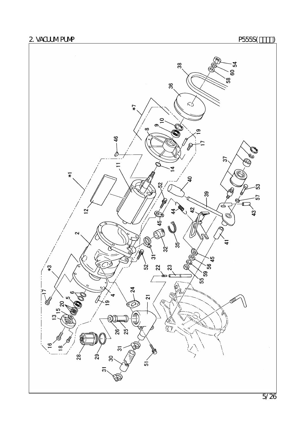2. VACUM PUMP P555S(THE PSESS(THE PSESS(THE PSESS(THE PSESS(THE PSESS)

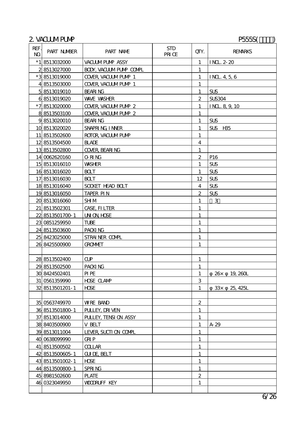# 2. VACUM PUMP P555S(T)

| REF.<br>$\mathbf{M}$ | PART NUMBER       | PART NAME                   | <b>STD</b><br>PRICE | QTY.                    | <b>REMARKS</b>  |
|----------------------|-------------------|-----------------------------|---------------------|-------------------------|-----------------|
|                      | $*1$   8513032000 | VACUMPUMP ASSY              |                     | $\mathbf{1}$            | INL 2-20        |
|                      | 28513027000       | <b>BOX, VACUMPUMP COMPL</b> |                     | $\mathbf{1}$            |                 |
|                      | *38513019000      | <b>COVER VACUMPUMP 1</b>    |                     | $\mathbf{1}$            | INL 4, 5, 6     |
|                      | 48513503000       | <b>COVER VACUMPUMP 1</b>    |                     | $\mathbf{1}$            |                 |
|                      | 58513019010       | <b>BEARING</b>              |                     | $\mathbf{1}$            | SUS             |
|                      | 6 8513019020      | <b>WAVE WASHER</b>          |                     | $\boldsymbol{2}$        | <b>SUS304</b>   |
|                      | *78513020000      | COVER, VACUMPUMP 2          |                     | $\mathbf{1}$            | INL 8, 9, 10    |
|                      | 88513503100       | <b>COVER VACUMPUMP 2</b>    |                     | 1                       |                 |
|                      | 98513020010       | <b>BEARING</b>              |                     | 1                       | SUS             |
|                      | 10 8513020020     | SNAPRING INVER              |                     | $\mathbf{1}$            | SUS H35         |
|                      | 11 8513502600     | ROTOR, VACUMPUMP            |                     | 1                       |                 |
|                      | 12 8513504500     | <b>BLADE</b>                |                     | $\overline{\mathbf{4}}$ |                 |
|                      | 13 8513502800     | <b>COVER, BEARING</b>       |                     | $\mathbf{1}$            |                 |
|                      | 14 0062620160     | <b>ORING</b>                |                     | $\boldsymbol{2}$        | P16             |
|                      | 15 8513016010     | <b>WASHER</b>               |                     | 1                       | <b>SUS</b>      |
|                      | 16 8513016020     | <b>BOLT</b>                 |                     | $\mathbf{1}$            | <b>SUS</b>      |
|                      | 178513016030      | <b>BCLT</b>                 |                     | 12                      | <b>SUS</b>      |
|                      | 18 8513016040     | SOCKET HEAD BOLT            |                     | 4                       | <b>SUS</b>      |
|                      | 19 8513016050     | <b>TAPER PIN</b>            |                     | $\overline{c}$          | <b>SUS</b>      |
|                      | 20 8513016060     | <b>SHM</b>                  |                     | 1                       | 3               |
|                      | 21 8513502301     | <b>CASE, FILTER</b>         |                     | $\mathbf{1}$            |                 |
|                      | 22 8513501700 1   | <b>UN ON HDSE</b>           |                     | $\mathbf{1}$            |                 |
|                      | 23 0851259950     | <b>TUBE</b>                 |                     | $\mathbf{1}$            |                 |
|                      | 24 8513503600     | PACKING                     |                     | $\mathbf{1}$            |                 |
|                      | 25 8423025000     | STRAINER COMPL              |                     | $\mathbf{1}$            |                 |
|                      | 26 8425500900     | <b>GROMMET</b>              |                     | 1                       |                 |
|                      |                   |                             |                     |                         |                 |
|                      | 28 8513502400     | $\alpha$                    |                     | $\mathbf{1}$            |                 |
|                      | 29 8513502500     | PACKING                     |                     | $\mathbf{1}$            |                 |
|                      | 30 8424502401     | PIPE                        |                     | $\mathbf{1}$            | 26 x 19, 260L   |
|                      | 31 0561359990     | <b>HDSE CLAMP</b>           |                     | 3                       |                 |
|                      | 32 8513501201-1   | <b>HDSE</b>                 |                     | $\mathbf{1}$            | 33x<br>25, 425L |
|                      |                   |                             |                     |                         |                 |
|                      | 35 0563749970     | <b>WRE BAND</b>             |                     | $\boldsymbol{2}$        |                 |
|                      | 36 8513501800 1   | PULLEY, DRIVEN              |                     | 1                       |                 |
|                      | 37 8513014000     | PULLEY, TENSI ON ASSY       |                     | $\mathbf{1}$            |                 |
|                      | 38 8403500900     | <b>V BELT</b>               |                     | 1                       | A 29            |
|                      | 39 8513011004     | LEVER SUCTI ON COMPL        |                     | $\mathbf{1}$            |                 |
|                      | 40 0638099990     | <b>GRIP</b>                 |                     | 1                       |                 |
|                      | 41 8513500502     | <b>COLLAR</b>               |                     | $\mathbf{1}$            |                 |
|                      | 42 8513500605-1   | <b>GUDE BELT</b>            |                     | $\mathbf{1}$            |                 |
|                      | 43 8513501002-1   | <b>HDSE</b>                 |                     | 1                       |                 |
|                      | 44 8513500800 1   | <b>SPRING</b>               |                     | $\mathbf{1}$            |                 |
|                      | 45 8981502600     | <b>PLATE</b>                |                     | $\boldsymbol{2}$        |                 |
|                      | 46 0323049950     | <b>VOORUFF KEY</b>          |                     | 1                       |                 |
|                      |                   |                             |                     |                         |                 |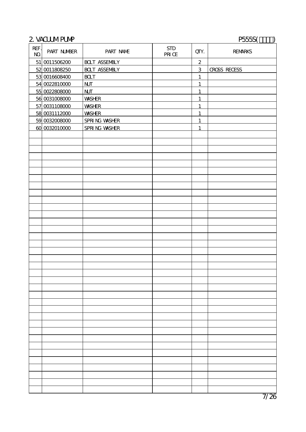# 2. VACUM PUMP P555S(T)

| REF.<br>$\bf{N\!O}$ | PART NUMBER   | PART NAME              | $\operatorname{STD}$<br>$\overline{\text{PRI}}$ $\text{CE}$ | QTY.             | <b>REMARKS</b>      |
|---------------------|---------------|------------------------|-------------------------------------------------------------|------------------|---------------------|
|                     | 51 0011506200 | <b>BOLT ASSEMBLY</b>   |                                                             | $\boldsymbol{2}$ |                     |
|                     | 52 0011808250 | <b>BOLT ASSEMBLY</b>   |                                                             | 3                | <b>CROSS RECESS</b> |
|                     | 53 0016608400 | <b>BOLT</b>            |                                                             | $\mathbf{1}$     |                     |
|                     | 54 0022810000 | $\mathbf{N}\mathbf{I}$ |                                                             | $\mathbf{1}$     |                     |
|                     | 55 0022808000 | $\mathbf{N}$           |                                                             | $\mathbf{1}$     |                     |
|                     | 56 0031008000 | <b>WASHER</b>          |                                                             | $\mathbf{1}$     |                     |
|                     | 57 0031108000 | <b>WASHER</b>          |                                                             | $\mathbf{1}$     |                     |
|                     | 58 0031112000 | <b>WASHER</b>          |                                                             | $\mathbf{1}$     |                     |
|                     | 59 0032008000 | <b>SPRING WASHER</b>   |                                                             | $\mathbf{1}$     |                     |
|                     | 60 0032010000 | <b>SPRING WASHER</b>   |                                                             | $\mathbf{1}$     |                     |
|                     |               |                        |                                                             |                  |                     |
|                     |               |                        |                                                             |                  |                     |
|                     |               |                        |                                                             |                  |                     |
|                     |               |                        |                                                             |                  |                     |
|                     |               |                        |                                                             |                  |                     |
|                     |               |                        |                                                             |                  |                     |
|                     |               |                        |                                                             |                  |                     |
|                     |               |                        |                                                             |                  |                     |
|                     |               |                        |                                                             |                  |                     |
|                     |               |                        |                                                             |                  |                     |
|                     |               |                        |                                                             |                  |                     |
|                     |               |                        |                                                             |                  |                     |
|                     |               |                        |                                                             |                  |                     |
|                     |               |                        |                                                             |                  |                     |
|                     |               |                        |                                                             |                  |                     |
|                     |               |                        |                                                             |                  |                     |
|                     |               |                        |                                                             |                  |                     |
|                     |               |                        |                                                             |                  |                     |
|                     |               |                        |                                                             |                  |                     |
|                     |               |                        |                                                             |                  |                     |
|                     |               |                        |                                                             |                  |                     |
|                     |               |                        |                                                             |                  |                     |
|                     |               |                        |                                                             |                  |                     |
|                     |               |                        |                                                             |                  |                     |
|                     |               |                        |                                                             |                  |                     |
|                     |               |                        |                                                             |                  |                     |
|                     |               |                        |                                                             |                  |                     |
|                     |               |                        |                                                             |                  |                     |
|                     |               |                        |                                                             |                  |                     |
|                     |               |                        |                                                             |                  |                     |
|                     |               |                        |                                                             |                  |                     |
|                     |               |                        |                                                             |                  |                     |
|                     |               |                        |                                                             |                  |                     |
|                     |               |                        |                                                             |                  |                     |
|                     |               |                        |                                                             |                  |                     |
|                     |               |                        |                                                             |                  |                     |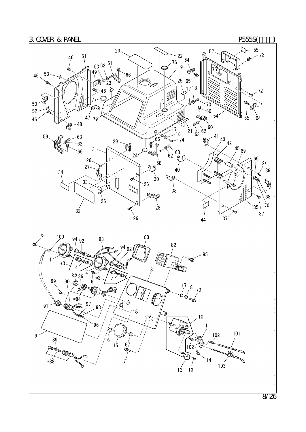

8/26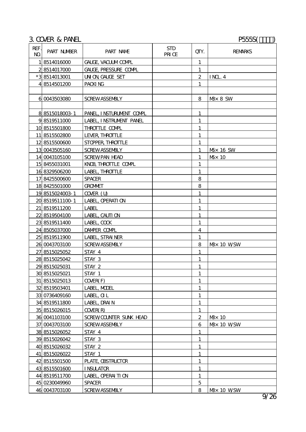|                        | 3 COVER & PANEL<br>P555S |                              |                      |                  |                            |  |
|------------------------|--------------------------|------------------------------|----------------------|------------------|----------------------------|--|
| REF.<br>N <sub>O</sub> | PART NUMBER              | PART NAME                    | <b>STD</b><br>PRI CE | QIY.             | <b>REMARKS</b>             |  |
|                        | 18514016000              | GALGE, VACUM COMPL           |                      | $\mathbf{1}$     |                            |  |
|                        | 28514017000              | <b>GALGE, PRESSURE COMPL</b> |                      | 1                |                            |  |
|                        | *38514013001             | <b>UN ON GALGE SET</b>       |                      | $\boldsymbol{2}$ | $\overline{IM}$ 4          |  |
|                        | 48514501200              | PACKING                      |                      | 1                |                            |  |
|                        |                          |                              |                      |                  |                            |  |
|                        | 6 0043503080             | <b>SCREWASSEMBLY</b>         |                      | 8                | M <sub>2</sub> 8 SW        |  |
|                        |                          |                              |                      |                  |                            |  |
|                        | 8 8515018003 1           | PANEL, INSTURUMENT COMPL     |                      | 1                |                            |  |
|                        | 98519511000              | LABEL, INSTRUMENT PANEL      |                      | 1                |                            |  |
|                        | 10 8515501800            | <b>THROTTLE COMPL</b>        |                      | 1                |                            |  |
|                        | 11 8515502800            | LEVER THROITLE               |                      | 1                |                            |  |
|                        | 12 8515500600            | STOPPER THROTTLE             |                      | $\mathbf{1}$     |                            |  |
|                        | 13 0043505160            | <b>SCREWASSEMBLY</b>         |                      | 1                | M <sub>3</sub> 16 SW       |  |
|                        | 14 0043105100            | <b>SCREWPAN HEAD</b>         |                      | 1                | $M\!\!\!\!\!\sim 10$       |  |
|                        | 15 8455031001            | KNOB THROITLE COMPL          |                      | $\mathbf{1}$     |                            |  |
|                        | 16 8329506200            | LABEL, THROTTLE              |                      | $\mathbf{1}$     |                            |  |
|                        | 17 8425500600            | <b>SPACER</b>                |                      | 8                |                            |  |
|                        | 18 8425501000            | <b>GROMMET</b>               |                      | 8                |                            |  |
|                        | 19 8515024003 1          | $C \times R$ (U)             |                      | $\mathbf{1}$     |                            |  |
|                        | 20 8519511100 1          | LABEL, CPERATI ON            |                      | 1                |                            |  |
|                        | 21 8519511200            | <b>LABEL</b>                 |                      | $\mathbf{1}$     |                            |  |
|                        | 22 8519504100            | LABEL, CAUII ON              |                      | 1                |                            |  |
|                        | 23 8519511400            | LABEL, COCK                  |                      | $\mathbf{1}$     |                            |  |
|                        | 24 8505037000            | DAMPER COMPL                 |                      | 4                |                            |  |
|                        | 25 8519511900            | LABEL, STRAINER              |                      | 1                |                            |  |
|                        | 26 0043703100            | <b>SCREWASSEMBLY</b>         |                      | 8                | M <sub>2</sub> x 10 WSW    |  |
|                        | 27 8515025052            | STAY 4                       |                      | $\mathbf{1}$     |                            |  |
|                        | 28 8515025042            | STAY 3                       |                      | 1                |                            |  |
|                        | 29 8515025031            | STAY 2                       |                      | 1                |                            |  |
|                        | 30 8515025021            | STAY 1                       |                      | $\mathbf{1}$     |                            |  |
|                        | 31 8515025013            | <b>COVER(F)</b>              |                      | $\mathbf{1}$     |                            |  |
|                        | 32 8519503401            | LABEL, MOEL                  |                      | 1                |                            |  |
|                        | 33 0736409160            | LABEL, CL                    |                      | 1                |                            |  |
|                        | 34 8519511800            | LABEL, DRAIN                 |                      | $\mathbf{1}$     |                            |  |
|                        | 35 8515026015            | COVER(R)                     |                      | $\mathbf{1}$     |                            |  |
|                        | 36 0041103100            | SCREWCCUNIER SUNK HEAD       |                      | $\boldsymbol{2}$ | $M\!\!\!\!\!\sim 10$       |  |
|                        | 37 0043703100            | <b>SCREWASSEMBLY</b>         |                      | 6                | $M\!\!\!\!\!\times 10$ WSW |  |
|                        | 38 8515026052            | STAY 4                       |                      | $\mathbf{1}$     |                            |  |
|                        | 39 8515026042            | STAY 3                       |                      | $\mathbf{1}$     |                            |  |
|                        | 40 8515026032            | STAY 2                       |                      | 1                |                            |  |
|                        | 41 8515026022            | STAY 1                       |                      | $\mathbf{1}$     |                            |  |
|                        | 42 8515501500            | PLATE, CBSTRUCTOR            |                      | $\mathbf{1}$     |                            |  |
|                        | 43 8515501600            | <b>INSULATOR</b>             |                      | 1                |                            |  |
|                        | 44 8519511700            | LABEL, OPERAITION            |                      | 1                |                            |  |
|                        | 45 0230049960            | <b>SPACER</b>                |                      | $\mathbf 5$      |                            |  |
|                        | 46 0043703100            | <b>SCREWASSEMBLY</b>         |                      | 8                | $M\!\!\!\!\!\times 10$ WSW |  |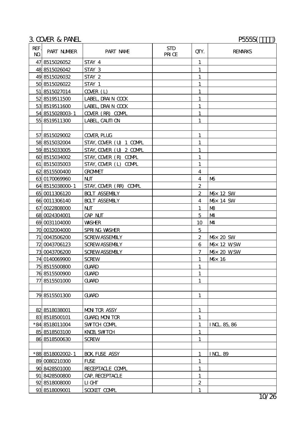# 3. COVER & PANEL P555S()

| REF.<br>N <sub>O</sub> | PART NUMBER      | PART NAME               | <b>STD</b><br>PRICE | QTY.                    | <b>REMARKS</b>        |
|------------------------|------------------|-------------------------|---------------------|-------------------------|-----------------------|
|                        | 47 8515026052    | STAY 4                  |                     | $\mathbf{1}$            |                       |
|                        | 48 8515026042    | STAY 3                  |                     | $\mathbf{1}$            |                       |
|                        | 49 8515026032    | STAY 2                  |                     | $\mathbf{1}$            |                       |
|                        | 50 8515026022    | STAY 1                  |                     | 1                       |                       |
|                        | 51 8515027014    | COVER (L)               |                     | $\mathbf{1}$            |                       |
|                        | 52 8519511500    | LABEL, DRAIN COOK       |                     | 1                       |                       |
|                        | 53 8519511600    | LABEL, DRAIN COOK       |                     | 1                       |                       |
|                        | 54 8515028003 1  | COVER (RR) COVPL        |                     | 1                       |                       |
|                        | 55 8519511300    | LABEL, CAUTI ON         |                     | 1                       |                       |
|                        |                  |                         |                     |                         |                       |
|                        | 57 8515029002    | <b>COVER PLUG</b>       |                     | 1                       |                       |
|                        | 58 8515032004    | STAY, COVER (U) 1 COVPL |                     | 1                       |                       |
|                        | 59 8515033005    | STAY, COVER (U) 2 COVPL |                     | $\mathbf{1}$            |                       |
|                        | 60 8515034002    | STAY, COVER (R) COVPL   |                     | 1                       |                       |
|                        | 61 8515035003    | STAY, COVER (L) COMPL   |                     | 1                       |                       |
|                        | 62 8515500400    | <b>GROMMET</b>          |                     | $\overline{4}$          |                       |
|                        | 63 0170069960    | <b>NJT</b>              |                     | $\overline{\mathbf{4}}$ | M <sub>0</sub>        |
|                        | 64 8515038000 1  | STAY, COVER (RR) COMPL  |                     | $\boldsymbol{z}$        |                       |
|                        | 65 0011306120    | <b>BOLT ASSEMBLY</b>    |                     | $\boldsymbol{2}$        | M <sub>b</sub> 12 SW  |
|                        | 66 0011306140    | <b>BOLT ASSEMBLY</b>    |                     | 4                       | M <sub>b</sub> 14 SW  |
|                        | 67 0022808000    | <b>NJT</b>              |                     | 1                       | MB                    |
|                        | 68 0024304001    | CAP NJT                 |                     | $\overline{5}$          | M <sub>4</sub>        |
|                        | 69 0031104000    | <b>WASHER</b>           |                     | 10                      | M <sub>4</sub>        |
|                        | 70 0032004000    | SPRING WASHER           |                     | $\mathbf 5$             |                       |
|                        | 71 0043506200    | <b>SCREWASSEMBLY</b>    |                     | $\boldsymbol{2}$        | M <sub>0</sub> 20 SW  |
|                        | 72 0043706123    | <b>SCREWASSEMBLY</b>    |                     | 6                       | M <sub>b</sub> 12 WSW |
|                        | 73 0043706200    | <b>SCREWASSEMBLY</b>    |                     | 7                       | M <sub>3</sub> 20 WSW |
|                        | 74 0140069900    | <b>SCREW</b>            |                     | 1                       | M <sub>b</sub> 16     |
|                        | 75 8515500800    | <b>GUARD</b>            |                     | $\mathbf{1}$            |                       |
|                        | 76 8515500900    | <b>GUARD</b>            |                     | $\mathbf{1}$            |                       |
|                        | 77 8515501000    | <b>GLARD</b>            |                     | $\mathbf{1}$            |                       |
|                        |                  |                         |                     |                         |                       |
|                        | 79 8515501300    | <b>GUARD</b>            |                     | $\mathbf{1}$            |                       |
|                        |                  |                         |                     |                         |                       |
|                        | 82 8518038001    | <b>MON TOR ASSY</b>     |                     | $\mathbf{1}$            |                       |
|                        | 83 8518500101    | <b>GUARD, MON TOR</b>   |                     | $\mathbf{1}$            |                       |
|                        | *84 8518011004   | SWTCH COMPL             |                     | 1                       | <b>INL 85, 86</b>     |
|                        | 85 8518503100    | KNOB, SWTCH             |                     | $\mathbf{1}$            |                       |
|                        | 86 8518500630    | SCREW                   |                     | $\mathbf{1}$            |                       |
|                        |                  |                         |                     |                         |                       |
|                        | *88 8518002002-1 | <b>BOX FUSE ASSY</b>    |                     | $\mathbf{1}$            | <b>INL 89</b>         |
|                        | 89 0080210300    | <b>FLSE</b>             |                     | 1                       |                       |
|                        | 90 8428501000    | RECEPTACLE COMPL        |                     | $\mathbf{1}$            |                       |
|                        | 91 8428500800    | CAP, RECEPTACLE         |                     | $\mathbf{1}$            |                       |
|                        | 92 8518008000    | $L1$ GHT                |                     | $\boldsymbol{z}$        |                       |
|                        | 93 8518009001    | SOCKET COMPL            |                     | $\mathbf{1}$            |                       |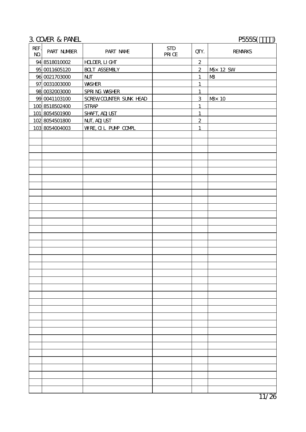## 3. COVER & PANEL P555S( $\qquad$ )

| REF.<br>$\bf{N\!O}$ | PART NUMBER    | PART NAME              | <b>STD</b><br>PRI Œ | QTY.             | <b>REMARKS</b>       |
|---------------------|----------------|------------------------|---------------------|------------------|----------------------|
|                     | 94 8518010002  | <b>HLDER LIGHT</b>     |                     | $\boldsymbol{z}$ |                      |
|                     | 95 0011605120  | <b>BOLT ASSEMBLY</b>   |                     | $\boldsymbol{2}$ | M <sub>x</sub> 12 SW |
|                     | 96 0021703000  | N                      |                     | $\mathbf{1}$     | M <sup>3</sup>       |
|                     | 97 0031003000  | <b>WASHER</b>          |                     | $\mathbf{1}$     |                      |
|                     | 98 0032003000  | SPRING WASHER          |                     | $\mathbf{1}$     |                      |
|                     | 99 0041103100  | SCREWCCUNIER SUNK HEAD |                     | 3                | M <sub>3</sub> 10    |
|                     | 100 8518502400 | <b>STRAP</b>           |                     | $\mathbf{1}$     |                      |
|                     | 101 8054501900 | <b>SHAFT, ADJUST</b>   |                     | $\mathbf{1}$     |                      |
|                     | 102 8054501800 | <b>NJT, ADJUST</b>     |                     | $\overline{2}$   |                      |
|                     | 103 8054004003 | WRE OIL PUNP COMPL     |                     | $\mathbf{1}$     |                      |
|                     |                |                        |                     |                  |                      |
|                     |                |                        |                     |                  |                      |
|                     |                |                        |                     |                  |                      |
|                     |                |                        |                     |                  |                      |
|                     |                |                        |                     |                  |                      |
|                     |                |                        |                     |                  |                      |
|                     |                |                        |                     |                  |                      |
|                     |                |                        |                     |                  |                      |
|                     |                |                        |                     |                  |                      |
|                     |                |                        |                     |                  |                      |
|                     |                |                        |                     |                  |                      |
|                     |                |                        |                     |                  |                      |
|                     |                |                        |                     |                  |                      |
|                     |                |                        |                     |                  |                      |
|                     |                |                        |                     |                  |                      |
|                     |                |                        |                     |                  |                      |
|                     |                |                        |                     |                  |                      |
|                     |                |                        |                     |                  |                      |
|                     |                |                        |                     |                  |                      |
|                     |                |                        |                     |                  |                      |
|                     |                |                        |                     |                  |                      |
|                     |                |                        |                     |                  |                      |
|                     |                |                        |                     |                  |                      |
|                     |                |                        |                     |                  |                      |
|                     |                |                        |                     |                  |                      |
|                     |                |                        |                     |                  |                      |
|                     |                |                        |                     |                  |                      |
|                     |                |                        |                     |                  |                      |
|                     |                |                        |                     |                  |                      |
|                     |                |                        |                     |                  |                      |
|                     |                |                        |                     |                  |                      |
|                     |                |                        |                     |                  |                      |
|                     |                |                        |                     |                  |                      |
|                     |                |                        |                     |                  |                      |
|                     |                |                        |                     |                  |                      |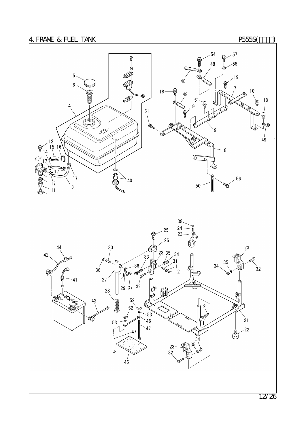



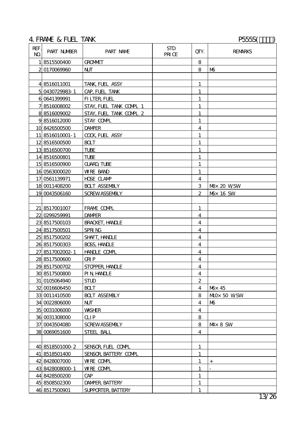# 4. FRAME & FUEL TANK P555S(T)

| REF.<br>N <sub>O</sub> | PART NUMBER     | PART NAME                            | <b>STD</b><br>PRI CE | QIY.                    | <b>REMARKS</b>        |
|------------------------|-----------------|--------------------------------------|----------------------|-------------------------|-----------------------|
|                        | 18515500400     | <b>GROMMET</b>                       |                      | 8                       |                       |
|                        | 2 0170069960    | <b>NJT</b>                           |                      | 8                       | M <sub>0</sub>        |
|                        |                 |                                      |                      |                         |                       |
|                        | 4 8516011001    | TANK, FUEL ASSY                      |                      | $\mathbf{1}$            |                       |
|                        | 5 0430729983-1  | CAP, FUEL TANK                       |                      | $\mathbf{1}$            |                       |
|                        | 6 0641399991    | FILTER, FUEL                         |                      | $\mathbf{1}$            |                       |
|                        | 78516008002     | STAY, FUEL TANK COMPL 1              |                      | $\mathbf{1}$            |                       |
|                        | 88516009002     | STAY, FUEL TANK COMPL 2              |                      | 1                       |                       |
|                        | 98516012000     | STAY COMPL                           |                      | 1                       |                       |
|                        | 10 8426500500   | <b>DAMPER</b>                        |                      | $\overline{\mathbf{4}}$ |                       |
|                        | 11 8516010001-1 | <b>COCK FUEL ASSY</b>                |                      | $\mathbf{1}$            |                       |
|                        | 12 8516500500   | <b>BOLT</b>                          |                      | $\mathbf{1}$            |                       |
|                        | 138516500700    | <b>TUBE</b>                          |                      | 1                       |                       |
|                        | 14 8516500801   | <b>TUBE</b>                          |                      | $\mathbf{1}$            |                       |
|                        | 15 8516500900   | <b>GUARD TUBE</b>                    |                      | $\mathbf{1}$            |                       |
|                        | 16 0563000020   | <b>WRE BAND</b>                      |                      | $\mathbf{1}$            |                       |
|                        | 17 0561139971   | <b>HDSE CLAMP</b>                    |                      | 4                       |                       |
|                        | 18 0011408200   | <b>BOLT ASSEMBLY</b>                 |                      | 3                       | <b>N&amp;</b> 20 WSW  |
|                        | 19 0043506160   | <b>SCREWASSEMBLY</b>                 |                      | 2                       | M <sub>b</sub> 16 SW  |
|                        |                 |                                      |                      |                         |                       |
|                        | 21 8517001007   | FRAME COMPL                          |                      | 1                       |                       |
|                        | 22 0299259991   | <b>DAMPER</b>                        |                      | $\overline{\mathbf{4}}$ |                       |
|                        | 23 8517500103   | <b>BRACKET, HANCLE</b>               |                      | $\overline{\mathbf{4}}$ |                       |
|                        | 24 8517500501   | SPRING                               |                      | 4                       |                       |
|                        | 25 8517500202   | <b>SHAFT, HANDLE</b>                 |                      | 4                       |                       |
|                        | 26 8517500303   | BOSS, HANLE                          |                      | $\overline{\mathbf{4}}$ |                       |
|                        | 27 8517002002-1 | <b>HANLE COMPL</b>                   |                      | $\overline{\mathbf{4}}$ |                       |
|                        | 28 8517500600   | <b>GRIP</b>                          |                      | $\overline{\mathbf{4}}$ |                       |
|                        | 29 8517500702   | <b>STOPER HNDLE</b>                  |                      | 4                       |                       |
|                        | 30 8517500800   | <b>PIN HANLE</b>                     |                      | $\overline{\mathbf{4}}$ |                       |
|                        | 31 0105064940   | <b>STUD</b>                          |                      | $\boldsymbol{2}$        |                       |
|                        | 32 0016606450   | <b>BCLT</b>                          |                      | 4                       | Mox 45                |
|                        | 33 0011410500   | <b>BOLT ASSEMBLY</b>                 |                      | 8                       | M <sub>0</sub> 50 WSW |
|                        | 34 0022806000   | N                                    |                      | $\overline{\mathbf{4}}$ | M <sub>6</sub>        |
|                        | 35 0031006000   | <b>WASHER</b>                        |                      | $\overline{4}$          |                       |
|                        | 36 0031308000   | QIP                                  |                      | 8                       |                       |
|                        | 37 0043504080   | <b>SCREWASSEMBLY</b>                 |                      | 8                       | $M \times 8$ SW       |
|                        | 38 0069051600   | STEEL BALL                           |                      | $\overline{4}$          |                       |
|                        |                 |                                      |                      |                         |                       |
|                        | 40 8518501000 2 | SENSOR, FUEL COMPL                   |                      | 1                       |                       |
|                        | 41 8518501400   | SENSOR, BATTERY COMPL                |                      | $\mathbf{1}$            |                       |
|                        | 42 8428007000   | WRE COMPL                            |                      | $\mathbf{1}$            | $^{+}$                |
|                        | 43 8428008000 1 | WRE COMPL                            |                      | 1                       |                       |
|                        | 44 8428500200   | $\mathbf{C}\!\mathbf{A}\!\mathbf{P}$ |                      | 1                       |                       |
|                        | 45 8508502300   | <b>DAMPER, BATTERY</b>               |                      | $\mathbf{1}$            |                       |
|                        | 46 8517500901   | SUPPORTER, BATTERY                   |                      | $\mathbf{1}$            |                       |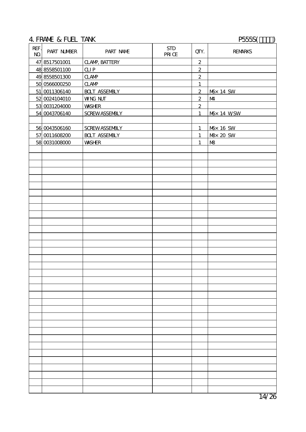### 4. FRAME & FUEL TANK P555S(Text)

| REF.<br>$\bf{N\!O}$ | PART NUMBER   | PART NAME                                  | $\operatorname{STD}$<br>PRICE | QTY.             | <b>REMARKS</b>          |
|---------------------|---------------|--------------------------------------------|-------------------------------|------------------|-------------------------|
|                     | 47 8517501001 | <b>CLAMP, BATTERY</b>                      |                               | $\boldsymbol{2}$ |                         |
|                     | 48 8558501100 | QIP                                        |                               | $\boldsymbol{2}$ |                         |
|                     | 49 8558501300 | $\mathbf{C}\mathbf{A}\mathbf{M}\mathbf{P}$ |                               | $\boldsymbol{2}$ |                         |
|                     | 50 0566000250 | $\mathbf{C}$ AMP                           |                               | $\mathbf{1}$     |                         |
|                     | 51 0011306140 | <b>BOLT ASSEMBLY</b>                       |                               | $\boldsymbol{2}$ | M <sub>b</sub> 14 SW    |
|                     | 52 0024104010 | <b>WNG NJT</b>                             |                               | $\mathbf{z}$     | $M\!\!\!\!4$            |
|                     | 53 0031204000 | <b>WASHER</b>                              |                               | $\boldsymbol{2}$ |                         |
|                     | 54 0043706140 | <b>SCREWASSEMBLY</b>                       |                               | $\mathbf{1}$     | M <sub>b</sub> x 14 WSW |
|                     |               |                                            |                               |                  |                         |
|                     | 56 0043506160 | <b>SCREWASSEMBLY</b>                       |                               | $\mathbf{1}$     | M <sub>D</sub> 16 SW    |
|                     | 57 0011608200 | <b>BOLT ASSEMBLY</b>                       |                               | $\mathbf{1}$     | M& 20 SW                |
|                     | 58 0031008000 | <b>WASHER</b>                              |                               | $\mathbf{1}$     | $M\!\!\!B$              |
|                     |               |                                            |                               |                  |                         |
|                     |               |                                            |                               |                  |                         |
|                     |               |                                            |                               |                  |                         |
|                     |               |                                            |                               |                  |                         |
|                     |               |                                            |                               |                  |                         |
|                     |               |                                            |                               |                  |                         |
|                     |               |                                            |                               |                  |                         |
|                     |               |                                            |                               |                  |                         |
|                     |               |                                            |                               |                  |                         |
|                     |               |                                            |                               |                  |                         |
|                     |               |                                            |                               |                  |                         |
|                     |               |                                            |                               |                  |                         |
|                     |               |                                            |                               |                  |                         |
|                     |               |                                            |                               |                  |                         |
|                     |               |                                            |                               |                  |                         |
|                     |               |                                            |                               |                  |                         |
|                     |               |                                            |                               |                  |                         |
|                     |               |                                            |                               |                  |                         |
|                     |               |                                            |                               |                  |                         |
|                     |               |                                            |                               |                  |                         |
|                     |               |                                            |                               |                  |                         |
|                     |               |                                            |                               |                  |                         |
|                     |               |                                            |                               |                  |                         |
|                     |               |                                            |                               |                  |                         |
|                     |               |                                            |                               |                  |                         |
|                     |               |                                            |                               |                  |                         |
|                     |               |                                            |                               |                  |                         |
|                     |               |                                            |                               |                  |                         |
|                     |               |                                            |                               |                  |                         |
|                     |               |                                            |                               |                  |                         |
|                     |               |                                            |                               |                  |                         |
|                     |               |                                            |                               |                  |                         |
|                     |               |                                            |                               |                  |                         |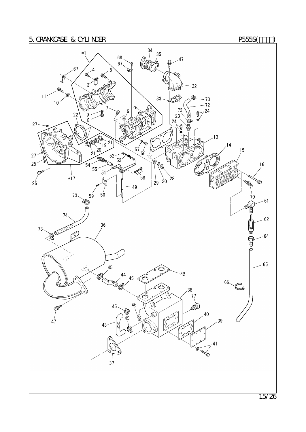

15/26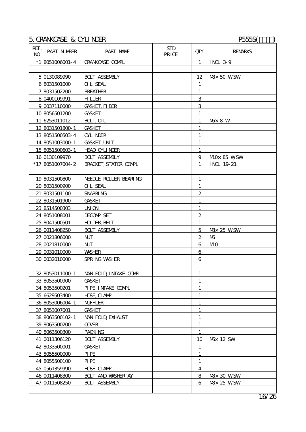## 5. CRANKCASE & CYLINDER P555S( $\qquad$ )

| REF.<br>N <sub>O</sub> | PART NUMBER         | PART NAME                                 | <b>STD</b><br>PRI CE | QIY.             | <b>REMARKS</b>                                 |
|------------------------|---------------------|-------------------------------------------|----------------------|------------------|------------------------------------------------|
|                        | $*1$   8051006001-4 | <b>CRANKCASE COMPL</b>                    |                      | $\mathbf{1}$     | <b>INL 39</b>                                  |
|                        |                     |                                           |                      |                  |                                                |
|                        | 5 013008990         | <b>BOLT ASSEMBLY</b>                      |                      | 12               | Max 50 WSW                                     |
|                        | 6 8031501000        | <b>OL SEAL</b>                            |                      | $\mathbf{1}$     |                                                |
|                        | 78031502200         | <b>BREATHER</b>                           |                      | $\mathbf{1}$     |                                                |
|                        | 8 0400109991        | <b>FILLER</b>                             |                      | 3                |                                                |
|                        | 9 0037110000        | <b>GASKET, FI BER</b>                     |                      | 3                |                                                |
|                        | 10 8056501200       | <b>GASKET</b>                             |                      | 1                |                                                |
|                        | 11 6253011012       | BOLT, CL                                  |                      | 1                | M <sub>b</sub> 8 W                             |
|                        | 12 8031501800 1     | <b>GASKET</b>                             |                      | $\mathbf{1}$     |                                                |
|                        | 13 8051500503 4     | <b>CYLINDER</b>                           |                      | $\mathbf{1}$     |                                                |
|                        | 14 8051003000 1     | <b>GASKET UNT</b>                         |                      | $\mathbf{1}$     |                                                |
|                        | 15 8051500603 1     | <b>HEAD CYLINDER</b>                      |                      | 1                |                                                |
|                        | 16 0130109970       | <b>BOLT ASSEMBLY</b>                      |                      | $\overline{9}$   | M <sub>0</sub> x 85 WSW                        |
|                        | *17 8051007004 2    | <b>BRACKET, STATCR COMPL</b>              |                      | $\mathbf{1}$     | INL 19 21                                      |
|                        |                     |                                           |                      |                  |                                                |
|                        | 19 8031500800       | NEEDLE ROLLER BEARING                     |                      | $\mathbf{1}$     |                                                |
|                        | 20 8031500900       | <b>OL SEAL</b>                            |                      | $\mathbf{1}$     |                                                |
|                        | 21 8031501100       | SNAPRING                                  |                      | $\boldsymbol{2}$ |                                                |
|                        | 22 8031501900       | <b>GASKET</b>                             |                      | 1                |                                                |
|                        | 23 8514500303       | <b>UNON</b>                               |                      | $\mathbf{1}$     |                                                |
|                        | 24 8051008001       | <b>DECOMP SET</b>                         |                      | $\overline{c}$   |                                                |
|                        | 25 8041500501       | <b>HOLDER, BELT</b>                       |                      | 1                |                                                |
|                        | 26 0011408250       | <b>BOLT ASSEMBLY</b>                      |                      | $\overline{5}$   | <b>M</b> <sup><math>\times</math></sup> 25 WSW |
|                        | 27 0021806000       | $\mathbf{N}$                              |                      | $\boldsymbol{2}$ | M <sub>0</sub>                                 |
|                        | 28 0021810000       | $\mathbf{N}$                              |                      | 6                | M <sub>0</sub>                                 |
|                        | 29 0031010000       | <b>WASHER</b>                             |                      | 6                |                                                |
|                        | 30 0032010000       | SPRING WASHER                             |                      | 6                |                                                |
|                        |                     |                                           |                      |                  |                                                |
|                        |                     | 32 8053011000 1   MAN FOLD, I NTAKE COMPL |                      | $\mathbf{1}$     |                                                |
|                        | 33 8053500900       | <b>GASKET</b>                             |                      | 1                |                                                |
|                        | 34 8053500201       | PIPE, INTAKE COMPL                        |                      | $\mathbf{1}$     |                                                |
|                        | 35 6629503400       | <b>HDSE, CLAMP</b>                        |                      | $\mathbf{1}$     |                                                |
|                        | 36 8053006004 1     | <b>MFFLER</b>                             |                      | 1                |                                                |
|                        | 37 8053007001       | <b>GASKET</b>                             |                      | $\mathbf{1}$     |                                                |
|                        | 38 8063500102-1     | MAN FOLD EXHALST                          |                      | 1                |                                                |
|                        | 39 8063500200       | <b>COVER</b>                              |                      | 1                |                                                |
|                        | 40 8063500300       | PACKING                                   |                      | $\mathbf{1}$     |                                                |
|                        | 41 0011306120       | <b>BOLT ASSEMBLY</b>                      |                      | 10               | M <sup>3</sup> 12 SW                           |
|                        | 42 8033500001       | <b>GASKET</b>                             |                      | $\mathbf{1}$     |                                                |
|                        | 43 8055500000       | PI PE                                     |                      | $\mathbf{1}$     |                                                |
|                        | 44 8055500100       | PI PE                                     |                      | 1                |                                                |
|                        | 45 0561359990       | <b>HDSE CLAMP</b>                         |                      | 4                |                                                |
|                        | 46 0011408300       | <b>BOLT AND WASHER AY</b>                 |                      | 8                | <b>M&amp;</b> 30 WSW                           |
|                        | 47 0011508250       | <b>BOLT ASSEMBLY</b>                      |                      | 6                | <b>N&amp;</b> 25 WSW                           |
|                        |                     |                                           |                      |                  |                                                |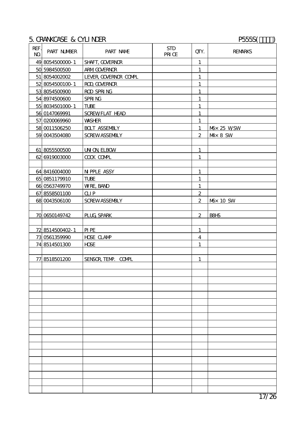### 5.CRANKCASE & CYLINDER P555S(カナダ)

| REF.<br>$\mathbf{M}$ | PART NUMBER     | PART NAME             | <b>STD</b><br>PRI CE | QIY.             | <b>REMARKS</b>        |
|----------------------|-----------------|-----------------------|----------------------|------------------|-----------------------|
|                      | 49 8054500000 1 | SHAFT, GOVERNOR       |                      | $\mathbf{1}$     |                       |
|                      | 50 5984500500   | <b>ARM GOVERNOR</b>   |                      | $\mathbf{1}$     |                       |
|                      | 51 8054002002   | LEVER GOVERNOR COMPL  |                      | $\mathbf{1}$     |                       |
|                      | 52 8054500100 1 | ROD GOVERNOR          |                      | $\mathbf{1}$     |                       |
|                      | 53 8054500900   | ROD SPRING            |                      | $\mathbf{1}$     |                       |
|                      | 54 8974500600   | SPRING                |                      | $\mathbf{1}$     |                       |
|                      | 55 8034501000 1 | <b>TUBE</b>           |                      | $\mathbf{1}$     |                       |
|                      | 56 0147069991   | <b>SCREWFLAT HEAD</b> |                      | $\mathbf{1}$     |                       |
|                      | 57 0200069960   | <b>WASHER</b>         |                      | $\mathbf{1}$     |                       |
|                      | 58 0011506250   | <b>BOLT ASSEMBLY</b>  |                      | $\mathbf{1}$     | M <sub>D</sub> 25 WSW |
|                      | 59 0043504080   | <b>SCREWASSEMBLY</b>  |                      | $\mathbf{z}$     | $M \times 8$ SW       |
|                      |                 |                       |                      |                  |                       |
|                      | 61 8055500500   | <b>IN ON ELBOW</b>    |                      | $\mathbf{1}$     |                       |
|                      | 62 6919003000   | <b>COOK COMPL</b>     |                      | 1                |                       |
|                      |                 |                       |                      |                  |                       |
|                      | 64 8416004000   | <b>NPPLE ASSY</b>     |                      | $\mathbf{1}$     |                       |
|                      | 65 0851179910   | TUBE                  |                      | $\mathbf{1}$     |                       |
|                      | 66 0563749970   | <b>WRE, BAND</b>      |                      | $\mathbf{1}$     |                       |
|                      | 67 8558501100   | <b>CLIP</b>           |                      | $\overline{2}$   |                       |
|                      | 68 0043506100   | <b>SCREWASSEMBLY</b>  |                      | $\mathbf{2}$     | M <sub>b</sub> 10 SW  |
|                      |                 |                       |                      |                  |                       |
|                      | 70 0650149742   | PLUG SPARK            |                      | $\boldsymbol{2}$ | <b>B8HS</b>           |
|                      |                 |                       |                      |                  |                       |
|                      | 72 8514500402-1 | <b>PIPE</b>           |                      | $\mathbf{1}$     |                       |
|                      | 73 0561359990   | <b>HDSE CLAMP</b>     |                      | $\overline{4}$   |                       |
|                      | 74 8514501300   | <b>HDSE</b>           |                      | $\mathbf{1}$     |                       |
|                      |                 |                       |                      |                  |                       |
|                      | 77 8518501200   | SENSOR, TEMP. COMPL   |                      | $\mathbf{1}$     |                       |
|                      |                 |                       |                      |                  |                       |
|                      |                 |                       |                      |                  |                       |
|                      |                 |                       |                      |                  |                       |
|                      |                 |                       |                      |                  |                       |
|                      |                 |                       |                      |                  |                       |
|                      |                 |                       |                      |                  |                       |
|                      |                 |                       |                      |                  |                       |
|                      |                 |                       |                      |                  |                       |
|                      |                 |                       |                      |                  |                       |
|                      |                 |                       |                      |                  |                       |
|                      |                 |                       |                      |                  |                       |
|                      |                 |                       |                      |                  |                       |
|                      |                 |                       |                      |                  |                       |
|                      |                 |                       |                      |                  |                       |
|                      |                 |                       |                      |                  |                       |
|                      |                 |                       |                      |                  |                       |
|                      |                 |                       |                      |                  |                       |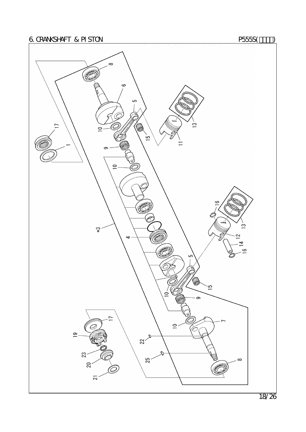

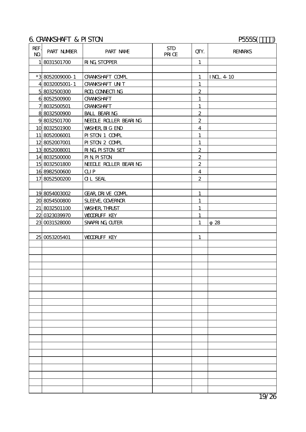### 6. CRANKSHAFT & PISTON P555S(THE PSESS(THE PSESS(THE PSESS(THE PSESS(THE PSESS)

| REF.<br>$\mathbf{M}$ | <b>PART NUMBER</b> | PART NAME              | <b>STD</b><br>PRI CE | QIY.                    | <b>REMARKS</b>  |
|----------------------|--------------------|------------------------|----------------------|-------------------------|-----------------|
|                      | 18031501700        | <b>RING STOPPER</b>    |                      | $\mathbf{1}$            |                 |
|                      |                    |                        |                      |                         |                 |
|                      | *38052009000 1     | <b>CRANSHAFT COMPL</b> |                      | $\mathbf{1}$            | <b>INL 4 10</b> |
|                      | 4 8032005001-1     | <b>CRANKSHAFT UNT</b>  |                      | $\mathbf{1}$            |                 |
|                      | 58032500300        | ROD, CONNECTI NG       |                      | $\boldsymbol{2}$        |                 |
|                      | 68052500900        | <b>CRANKSHAFT</b>      |                      | $\mathbf{1}$            |                 |
|                      | 78032500501        | <b>CRANSHAFT</b>       |                      | $\mathbf{1}$            |                 |
|                      | 88032500900        | <b>BALL BEARING</b>    |                      | $\overline{2}$          |                 |
|                      | 98032501700        | NEELLE ROLLER BEARING  |                      | $\overline{2}$          |                 |
|                      | 10 8032501900      | <b>WASHER, BIG END</b> |                      | $\overline{4}$          |                 |
|                      | 11 8052006001      | PISTON 1 COMPL         |                      | $\mathbf{1}$            |                 |
|                      | 12 8052007001      | PISTON 2 COMPL         |                      | $\mathbf{1}$            |                 |
|                      | 13 8052008001      | <b>RING PISTON SET</b> |                      | $\boldsymbol{2}$        |                 |
|                      | 14 8032500000      | <b>PIN PISTON</b>      |                      | $\overline{c}$          |                 |
|                      | 15 8032501800      | NEELLE ROLLER BEARING  |                      | $\boldsymbol{2}$        |                 |
|                      | 16 8982500600      | QIP                    |                      | $\overline{\mathbf{4}}$ |                 |
|                      | 17 8052500200      | <b>OL SEAL</b>         |                      | $\boldsymbol{2}$        |                 |
|                      |                    |                        |                      |                         |                 |
|                      | 19 8054003002      | GEAR, DRIVE COMPL      |                      | 1                       |                 |
|                      | 20 8054500800      | SLEEVE, GOVERNOR       |                      | 1                       |                 |
|                      | 21 8032501100      | <b>WASHER, THRLST</b>  |                      | 1                       |                 |
|                      | 22 0323039970      | <b>VOORUFF KEY</b>     |                      | $\mathbf{1}$            |                 |
|                      | 23 0031528000      | SNAPRING CUTER         |                      | 1                       | 28              |
|                      |                    |                        |                      |                         |                 |
|                      | 25 0053205401      | <b>VOORUFF KEY</b>     |                      | 1                       |                 |
|                      |                    |                        |                      |                         |                 |
|                      |                    |                        |                      |                         |                 |
|                      |                    |                        |                      |                         |                 |
|                      |                    |                        |                      |                         |                 |
|                      |                    |                        |                      |                         |                 |
|                      |                    |                        |                      |                         |                 |
|                      |                    |                        |                      |                         |                 |
|                      |                    |                        |                      |                         |                 |
|                      |                    |                        |                      |                         |                 |
|                      |                    |                        |                      |                         |                 |
|                      |                    |                        |                      |                         |                 |
|                      |                    |                        |                      |                         |                 |
|                      |                    |                        |                      |                         |                 |
|                      |                    |                        |                      |                         |                 |
|                      |                    |                        |                      |                         |                 |
|                      |                    |                        |                      |                         |                 |
|                      |                    |                        |                      |                         |                 |
|                      |                    |                        |                      |                         |                 |
|                      |                    |                        |                      |                         |                 |
|                      |                    |                        |                      |                         |                 |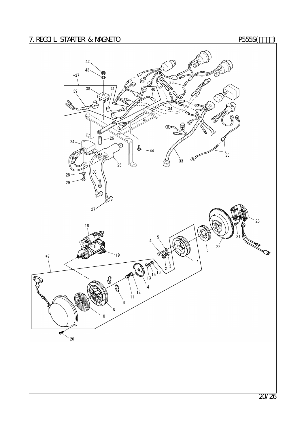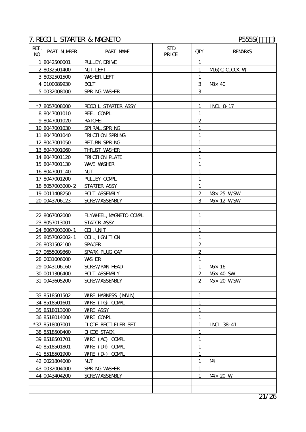# 7. RECOIL STARTER & MAGNETO P555S(T)

| REF.<br>$\mathbf{M}$ | PART NUMBER     | PART NAME                     | <b>STD</b><br>PRI CE | QTY.             | <b>REMARKS</b>              |
|----------------------|-----------------|-------------------------------|----------------------|------------------|-----------------------------|
| 11                   | 8042500001      | PULLEY, DRIVE                 |                      | 1                |                             |
|                      | 28032501400     | NJT, LEFT                     |                      | $\mathbf{1}$     | M6(C CLOCK W                |
|                      | 38032501500     | <b>WASHER LEFT</b>            |                      | $\mathbf{1}$     |                             |
|                      | 4 0100089930    | <b>BOLT</b>                   |                      | 3                | Max 40                      |
|                      | 50032008000     | SPRING WASHER                 |                      | 3                |                             |
|                      |                 |                               |                      |                  |                             |
|                      | *78057008000    | <b>RECOL STARIER ASSY</b>     |                      | $\mathbf{1}$     | <b>INL 8 17</b>             |
|                      | 8 8047001010    | REEL COMPL                    |                      | $\mathbf{1}$     |                             |
|                      | 98047001020     | <b>RATCHET</b>                |                      | $\boldsymbol{2}$ |                             |
|                      | 10 8047001030   | SPIRAL, SPRING                |                      | $\mathbf{1}$     |                             |
|                      | 11 8047001040   | FRICTION SPRING               |                      | $\mathbf{1}$     |                             |
|                      | 12 8047001050   | <b>RETURN SPRING</b>          |                      | $\mathbf{1}$     |                             |
|                      | 13 8047001060   | <b>THRUST WASHER</b>          |                      | 1                |                             |
|                      | 14 8047001120   | FRICII ON PLATE               |                      | $\mathbf{1}$     |                             |
|                      | 15 8047001130   | <b>WAVE WASHER</b>            |                      | $\mathbf{1}$     |                             |
|                      | 16 8047001140   | $\mathbf{N}$                  |                      | $\mathbf{1}$     |                             |
|                      | 17 8047001200   | PULLEY COMPL                  |                      | $\mathbf{1}$     |                             |
|                      | 18 8057003000 2 | STARTER ASSY                  |                      | $\mathbf{1}$     |                             |
|                      | 19 0011408250   | <b>BOLT ASSEMBLY</b>          |                      | $\mathbf{z}$     | <b>M&amp;</b> 25 WSW        |
|                      | 20 0043706123   | <b>SCREWASSEMBLY</b>          |                      | 3                | <b>M<sub>D</sub></b> 12 WSW |
|                      |                 |                               |                      |                  |                             |
|                      | 22 8067002000   | FLYWEEL, MAGNETO COMPL        |                      | 1                |                             |
|                      | 23 8057013001   | <b>STATOR ASSY</b>            |                      | 1                |                             |
|                      | 24 8067003000 1 | $CL$ , $INT$                  |                      | $\mathbf{1}$     |                             |
|                      | 25 8057002002-1 | <b>COL IGNTION</b>            |                      | $\mathbf{1}$     |                             |
|                      | 26 8031502100   | <b>SPACER</b>                 |                      | $\boldsymbol{2}$ |                             |
|                      | 27 0655009860   | SPARK PLUG CAP                |                      | $\boldsymbol{2}$ |                             |
|                      | 28 0031006000   | <b>WASHER</b>                 |                      | 1                |                             |
|                      | 29 0043106160   | <b>SCREWPAN HEAD</b>          |                      | $\mathbf{1}$     | M <sup>3</sup> 16           |
|                      | 30 0011306400   | <b>BOLT ASSEMBLY</b>          |                      |                  | 2   $M\& 40$ SW             |
|                      | 31 0043605200   | <b>SCREWASSEMBLY</b>          |                      | $\mathbf{2}$     | $M\!\!\!\!\!\sim 20$ WSW    |
|                      |                 |                               |                      |                  |                             |
|                      | 33 8518501502   | WRE HARNESS (MAIN)            |                      | $\mathbf{1}$     |                             |
|                      | 34 8518501601   | WRE (IG) COMPL                |                      | $\mathbf{1}$     |                             |
|                      | 35 8518013000   | <b>WRE ASSY</b>               |                      | $\mathbf{1}$     |                             |
|                      | 36 8518014000   | WRE COMPL                     |                      | $\mathbf{1}$     |                             |
|                      | *37 8518007001  | <b>DI CDE RECTI FI ER SET</b> |                      | 1                | <b>INL 3841</b>             |
|                      | 38 8518500400   | <b>DI CDE STACK</b>           |                      | $\mathbf{1}$     |                             |
|                      | 39 8518501701   | WRE (AC) COMPL                |                      | 1                |                             |
|                      | 40 8518501801   | $WRE$ (D <sub>+</sub> ) COMPL |                      | $\mathbf{1}$     |                             |
|                      | 41 8518501900   | WRE (D) COMPL                 |                      | $\mathbf{1}$     |                             |
|                      | 42 0021804000   | $\mathbf{N} \mathbf{\Gamma}$  |                      | 1                | M4                          |
|                      | 43 0032004000   | SPRING WASHER                 |                      | $\mathbf{1}$     |                             |
|                      | 44 0043404200   | SCREWASSEMBLY                 |                      | $\mathbf{1}$     | $M \times 20$ W             |
|                      |                 |                               |                      |                  |                             |
|                      |                 |                               |                      |                  |                             |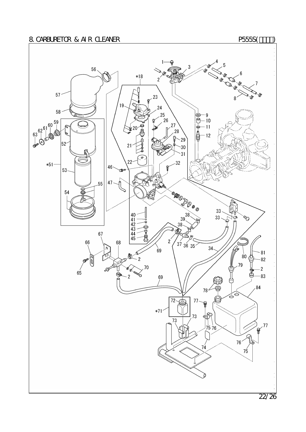### 8. CARBURETOR & AIR CLEANER **P555S(** $\qquad$ )

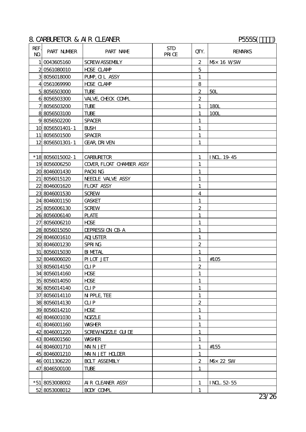### 8. CARBURETOR & AIR CLEANER P555S( $\qquad$ )

| REF.<br>$\mathbf{M}$ | <b>PART NUMBER</b> | PART NAME                       | <b>STD</b><br>PRI CE | QIY.                    | <b>REMARKS</b>           |
|----------------------|--------------------|---------------------------------|----------------------|-------------------------|--------------------------|
|                      | 10043605160        | <b>SCREWASSEMBLY</b>            |                      | $\boldsymbol{2}$        | $M\!\!\!\!\!\sim 16$ WSW |
|                      | 2 0561080010       | <b>HDSE CLAMP</b>               |                      | $\overline{5}$          |                          |
|                      | 38056018000        | PUMP, CL ASSY                   |                      | $\mathbf{1}$            |                          |
|                      | 4 0561069990       | <b>HDSE CLAMP</b>               |                      | 8                       |                          |
|                      | 58056503000        | <b>TUBE</b>                     |                      | $\boldsymbol{2}$        | 50L                      |
|                      | 68056503300        | VALVE, CHECK COMPL              |                      | $\overline{\mathbf{c}}$ |                          |
|                      | 78056503200        | <b>TUBE</b>                     |                      | $\mathbf{1}$            | 180L                     |
|                      | 88056503100        | <b>TUBE</b>                     |                      | $\mathbf{1}$            | 100L                     |
|                      | 98056502200        | <b>SPACER</b>                   |                      | $\mathbf{1}$            |                          |
|                      | 10 8056501401-1    | <b>BUSH</b>                     |                      | 1                       |                          |
|                      | 11 8056501500      | <b>SPACER</b>                   |                      | $\mathbf{1}$            |                          |
|                      | 12 8056501301-1    | <b>GEAR DRIVEN</b>              |                      | 1                       |                          |
|                      |                    |                                 |                      |                         |                          |
|                      | *188056015002-1    | <b>CARBURETOR</b>               |                      | 1                       | INL 1945                 |
|                      | 19 8056006250      | <b>COVER FLOAT CHAMBER ASSY</b> |                      | 1                       |                          |
|                      | 20 8046001430      | PACKING                         |                      | $\mathbf{1}$            |                          |
|                      | 21 8056015120      | <b>NEEDLE VALVE ASSY</b>        |                      | $\mathbf{1}$            |                          |
|                      | 22 8046001620      | <b>FLOAT ASSY</b>               |                      | $\mathbf{1}$            |                          |
|                      | 23 8046001530      | <b>SCREW</b>                    |                      | $\overline{\mathbf{4}}$ |                          |
|                      | 24 8046001150      | <b>GASKET</b>                   |                      | 1                       |                          |
|                      | 25 8056006130      | <b>SCREW</b>                    |                      | $\boldsymbol{2}$        |                          |
|                      | 26 8056006140      | <b>PLATE</b>                    |                      | $\mathbf{1}$            |                          |
|                      | 27 8056006210      | <b>HDSE</b>                     |                      | $\mathbf{1}$            |                          |
|                      | 28 8056015050      | <b>DEPRESSI ON CB A</b>         |                      | $\mathbf{1}$            |                          |
|                      | 29 8046001610      | <b>ADJUSTER</b>                 |                      | 1                       |                          |
|                      | 30 8046001230      | SPRING                          |                      | $\boldsymbol{2}$        |                          |
|                      | 31 8056015030      | <b>BI METAL</b>                 |                      | $\mathbf{1}$            |                          |
|                      | 32 8046006020      | PILOT JET                       |                      | 1                       | #105                     |
|                      | 33 8056014150      | <b>CLIP</b>                     |                      | $\boldsymbol{2}$        |                          |
|                      | 34 8056014160      | <b>HDSE</b>                     |                      | $\mathbf{1}$            |                          |
|                      | 35 8056014050      | <b>HDSE</b>                     |                      | $\mathbf{1}$            |                          |
|                      | 36 8056014140      | QIP                             |                      | $\mathbf{1}$            |                          |
|                      | 37 8056014110      | N PPLE, TEE                     |                      | $\mathbf{1}$            |                          |
|                      | 38 8056014130      | $Q_{\text{HP}}$                 |                      | $\boldsymbol{2}$        |                          |
|                      | 39 8056014210      | <b>HDSE</b>                     |                      | 1                       |                          |
|                      | 40 8046001030      | <b>NYZLE</b>                    |                      | 1                       |                          |
|                      | 41 8046001160      | <b>WASHER</b>                   |                      | $\mathbf{1}$            |                          |
|                      | 42 8046001220      | SCREWNOZZLE GULDE               |                      | $\mathbf{1}$            |                          |
|                      | 43 8046001560      | <b>WASHER</b>                   |                      | 1                       |                          |
|                      | 44 8046001710      | <b>MAIN JET</b>                 |                      | $\mathbf{1}$            | #155                     |
|                      | 45 8046001210      | <b>MAIN JET HOLDER</b>          |                      | $\mathbf{1}$            |                          |
|                      | 46 0011306220      | <b>BOLT ASSEMBLY</b>            |                      | $\boldsymbol{2}$        | M <sub>b</sub> 22 SW     |
|                      | 47 8046500100      | TUBE                            |                      | 1                       |                          |
|                      |                    |                                 |                      |                         |                          |
|                      | *51 8053008002     | AIR CLEANER ASSY                |                      | 1                       | INL 52-55                |
|                      | 52 8053008012      | <b>BODY COMPL</b>               |                      | $\mathbf{1}$            |                          |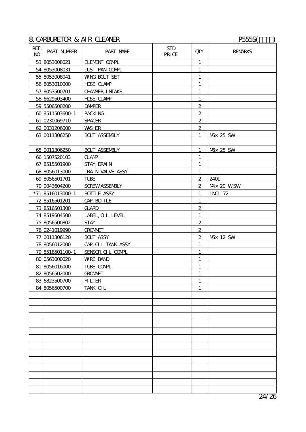## 8. CARBURETOR & AIR CLEANER P555S( $\qquad$ )

| REF.<br>$\mathbf{M}$ | <b>PART NUMBER</b> | PART NAME               | <b>STD</b><br>PRI CE | QIY.             | <b>REMARKS</b>       |
|----------------------|--------------------|-------------------------|----------------------|------------------|----------------------|
|                      | 53 8053008021      | <b>ELEMENT COMPL</b>    |                      | $\mathbf{1}$     |                      |
|                      | 54 8053008031      | <b>DUST PAN COMPL</b>   |                      | $\mathbf{1}$     |                      |
|                      | 55 8053008041      | <b>WNG BOLT SET</b>     |                      | $\mathbf{1}$     |                      |
|                      | 56 8053010000      | <b>HDSE CLAMP</b>       |                      | 1                |                      |
|                      | 57 8053500701      | <b>CHAMBER, I NTAKE</b> |                      | $\mathbf{1}$     |                      |
|                      | 58 6629503400      | <b>HDE CLAMP</b>        |                      | $\mathbf{1}$     |                      |
|                      | 59 5506500200      | <b>DAMPER</b>           |                      | $\boldsymbol{2}$ |                      |
|                      | 60 8511503600-1    | PACKING                 |                      | $\boldsymbol{2}$ |                      |
|                      | 61 0230069710      | <b>SPACER</b>           |                      | $\overline{2}$   |                      |
|                      | 62 0031206000      | <b>WASHER</b>           |                      | $\overline{2}$   |                      |
|                      | 63 0011306250      | <b>BOLT ASSEMBLY</b>    |                      | 1                | M <sub>D</sub> 25 SW |
|                      |                    |                         |                      |                  |                      |
|                      | 65 0011306250      | <b>BOLT ASSEMBLY</b>    |                      | $\mathbf{1}$     | M <sub>b</sub> 25 SW |
|                      | 66 1507520103      | <b>CLAMP</b>            |                      | $\mathbf{1}$     |                      |
|                      | 67 8515501900      | STAY, DRAIN             |                      | $\mathbf{1}$     |                      |
|                      | 68 8056013000      | DRAIN VALVE ASSY        |                      | $\mathbf{1}$     |                      |
|                      | 69 8056501701      | <b>TUBE</b>             |                      | $\boldsymbol{2}$ | 240L                 |
|                      | 70 0043604200      | <b>SCREWASSEMBLY</b>    |                      | $\boldsymbol{2}$ | $M \times 20$ WSW    |
|                      | *718516013000-1    | <b>BOTTLE ASSY</b>      |                      | $\mathbf{1}$     | <b>INL.72</b>        |
|                      | 72 8516501201      | CAP, BOITLE             |                      | 1                |                      |
|                      | 73 8516501300      | <b>GUARD</b>            |                      | $\boldsymbol{2}$ |                      |
|                      | 74 8519504500      | LABEL, OL LEVEL         |                      | $\mathbf{1}$     |                      |
|                      | 75 8056500802      | <b>STAY</b>             |                      | $\mathbf{2}$     |                      |
|                      | 76 0241019990      | <b>GROMMET</b>          |                      | $\boldsymbol{2}$ |                      |
|                      | 77 0011306120      | <b>BOLT ASSY</b>        |                      | $\boldsymbol{2}$ | M <sub>b</sub> 12 SW |
|                      | 78 8056012000      | CAP, OL TANK ASSY       |                      | $\mathbf{1}$     |                      |
|                      | 79 8518501100 1    | SENSOR OIL COMPL        |                      | $\mathbf{1}$     |                      |
|                      | 80 0563000020      | <b>WRE BAND</b>         |                      | $\mathbf{1}$     |                      |
|                      | 81 8056016000      | TUBE COMPL              |                      | $\mathbf{1}$     |                      |
|                      | 82 8056502000      | <b>GROMMET</b>          |                      | $\mathbf 1$      |                      |
|                      | 83 6823500700      | <b>FILTER</b>           |                      | $\mathbf{1}$     |                      |
|                      | 84 8056500700      | TANK, <b>QL</b>         |                      | $\mathbf{1}$     |                      |
|                      |                    |                         |                      |                  |                      |
|                      |                    |                         |                      |                  |                      |
|                      |                    |                         |                      |                  |                      |
|                      |                    |                         |                      |                  |                      |
|                      |                    |                         |                      |                  |                      |
|                      |                    |                         |                      |                  |                      |
|                      |                    |                         |                      |                  |                      |
|                      |                    |                         |                      |                  |                      |
|                      |                    |                         |                      |                  |                      |
|                      |                    |                         |                      |                  |                      |
|                      |                    |                         |                      |                  |                      |
|                      |                    |                         |                      |                  |                      |
|                      |                    |                         |                      |                  |                      |
|                      |                    |                         |                      |                  |                      |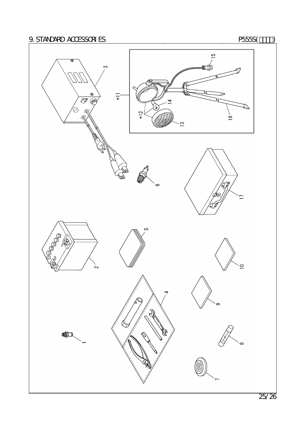